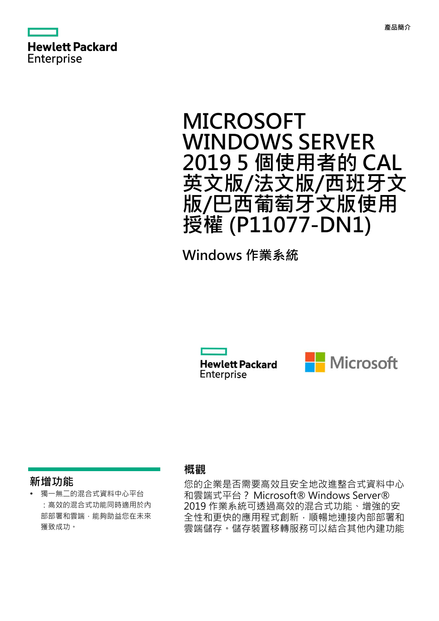

# **MICROSOFT WINDOWS SERVER 2019 5 個使用者的 CAL 英文版/法文版/西班牙文 版/巴西葡萄牙文版使用 授權 (P11077-DN1)**

**Windows 作業系統**

**Hewlett Packard** Enterprise



### **新增功能**

**·** 獨一無二的混合式資料中心平台 :高效的混合式功能同時適用於內 部部署和雲端,能夠助益您在未來 獲致成功。

### **概觀**

您的企業是否需要高效且安全地改進整合式資料中心 和雲端式平台? Microsoft® Windows Server® 2019 作業系統可透過高效的混合式功能、增強的安 全性和更快的應用程式創新,順暢地連接內部部署和 雲端儲存。儲存裝置移轉服務可以結合其他內建功能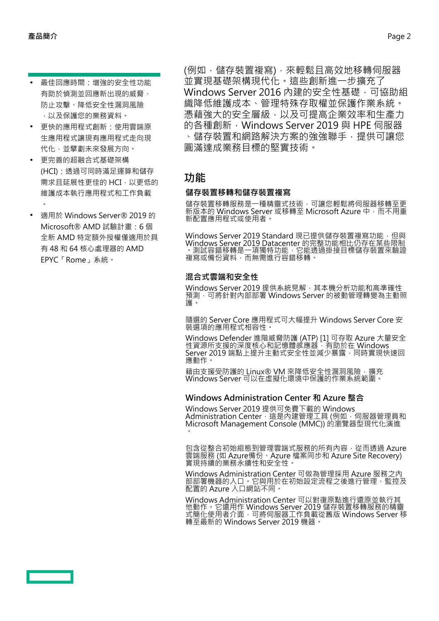- **·** 最佳回應時間:增強的安全性功能 有助於偵測並回應新出現的威脅、 防止攻擊、降低安全性漏洞風險 ,以及保護您的業務資料。
- **·** 更快的應用程式創新:使用雲端原 生應用程式讓現有應用程式走向現 代化,並擘劃未來發展方向。
- **·** 更完善的超融合式基礎架構 (HCI):透過可同時滿足運算和儲存 需求且延展性更佳的 HCI,以更低的 維護成本執行應用程式和工作負載  $\bullet$
- **·** 適用於 Windows Server® 2019 的 Microsoft® AMD 試驗計畫:6 個 全新 AMD 特定額外授權僅適用於具 有 48 和 64 核心處理器的 AMD EPYC「Rome」系統。

(例如,儲存裝置複寫),來輕鬆且高效地移轉伺服器 並實現基礎架構現代化。這些創新進一步擴充了 Windows Server 2016 內建的安全性基礎, 可協助組 織降低維護成本、管理特殊存取權並保護作業系統。 憑藉強大的安全層級,以及可提高企業效率和生產力 的各種創新, Windows Server 2019 與 HPE 伺服器 、儲存裝置和網路解決方案的強強聯手,提供可讓您 圓滿達成業務目標的堅實技術。

# **功能**

#### **儲存裝置移轉和儲存裝置複寫**

儲存裝置移轉服務是一種精靈式技術,可讓您輕鬆將伺服器移轉至更 新版本的 Windows Server 或移轉至 Microsoft Azure 中,而不用重 新配置應用程式或使用者。

Windows Server 2019 Standard 現已提供儲存裝置複寫功能,但與 **Windows Server 2019 Datacenter** 的完整功能相比仍存在某些限制 。測試容錯移轉是一項獨特功能,它能透過掛接目標儲存裝置來驗證 複寫或備份資料,而無需進行容錯移轉。

#### **混合式雲端和安全性**

Windows Server 2019 提供系統見解,其本機分析功能和高準確性 預測,可將針對內部部署 Windows Server 的被動管理轉變為主動照 護。

隨選的 Server Core 應用程式可大幅提升 Windows Server Core 安 裝選項的應用程式相容性。

Windows Defender 進階威脅防護 (ATP) [1] 可存取 Azure 大量安全 性資源所支援的深度核心和記憶體感應器,有助於在 Windows Server 2019 端點上提升主動式安全性並減少暴露,同時實現快速回 應動作。

藉由支援受防護的 Linux® VM 來降低安全性漏洞風險,擴充 Windows Server 可以在虛擬化環境中保護的作業系統範圍。

#### **Windows Administration Center 和 Azure 整合**

Windows Server 2019 提供可免費下載的 Windows Administration Center,這是內建管理工具 (例如,同服器管理員和 Microsoft Management Console (MMC)) 的瀏覽器型現代化演進  $\bullet$ 

包含從整合初始組態到管理雲端式服務的所有內容,從而透過 Azure 雲端服務 (如 Azure備份、Azure 檔案同步和 Azure Site Recovery) 實現持續的業務永續性和安全性。

Windows Administration Center 可做為管理採用 Azure 服務之內 部部署機器的入口。它與用於在初始設定流程之後進行管理、監控及 配置的 Azure 入口網站不同。

Windows Administration Center 可以對復原點進行還原並執行其 他動作。它還用作 Windows Server 2019 儲存裝置移轉服務的精靈 式簡化使用者介面,可將伺服器工作負載從舊版 Windows Server 移 轉至最新的 Windows Server 2019 機器。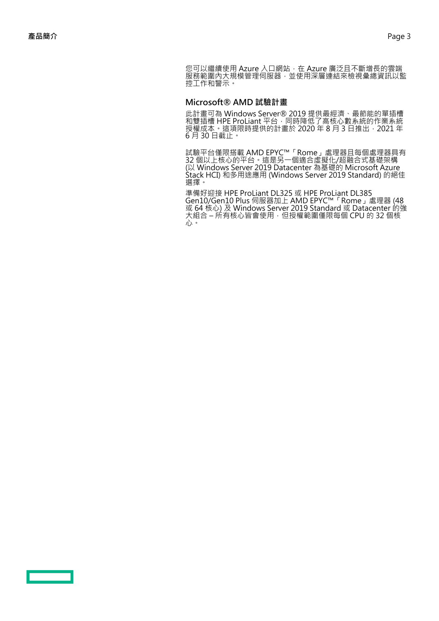您可以繼續使用 Azure 入口網站, 在 Azure 廣泛且不斷增長的雲端 服務範圍內大規模管理伺服器,並使用深層連結來檢視彙總資訊以監 控工作和警示。

#### **Microsoft® AMD 試驗計畫**

此計畫可為 Windows Server® 2019 提供最經濟、最節能的單插槽 和雙插槽 HPE ProLiant 平台,同時降低了高核心數系統的作業系統 授權成本。這項限時提供的計畫於 2020 年 8 月 3 日推出,2021 年 6 月 30 日截止。

試驗平台僅限搭載 AMD EPYC™「Rome」處理器且每個處理器具有 32 個以上核心的平台。這是另一個適合虛擬化/超融合式基礎架構 (以 Windows Server 2019 Datacenter 為基礎的 Microsoft Azure Stack HCI) 和多用途應用 (Windows Server 2019 Standard) 的絕佳 選擇。

準備好迎接 HPE ProLiant DL325 或 HPE ProLiant DL385 Gen10/Gen10 Plus 伺服器加上 AMD EPYC™「Rome」處理器 (48 或 64 核心) 及 Windows Server 2019 Standard 或 Datacenter 的強 大組合 – 所有核心皆會使用,但授權範圍僅限每個 CPU 的 32 個核 心。